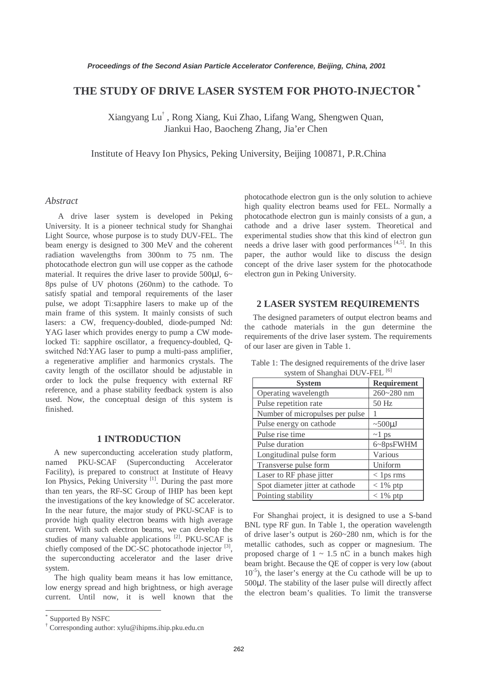# **THE STUDY OF DRIVE LASER SYSTEM FOR PHOTO-INJECTOR \***

Xiangyang Lu† , Rong Xiang, Kui Zhao, Lifang Wang, Shengwen Quan, Jiankui Hao, Baocheng Zhang, Jia'er Chen

Institute of Heavy Ion Physics, Peking University, Beijing 100871, P.R.China

## *Abstract*

A drive laser system is developed in Peking University. It is a pioneer technical study for Shanghai Light Source, whose purpose is to study DUV-FEL. The beam energy is designed to 300 MeV and the coherent radiation wavelengths from 300nm to 75 nm. The photocathode electron gun will use copper as the cathode material. It requires the drive laser to provide 500 $\mu$ J, 6~ 8ps pulse of UV photons (260nm) to the cathode. To satisfy spatial and temporal requirements of the laser pulse, we adopt Ti:sapphire lasers to make up of the main frame of this system. It mainly consists of such lasers: a CW, frequency-doubled, diode-pumped Nd: YAG laser which provides energy to pump a CW modelocked Ti: sapphire oscillator, a frequency-doubled, Qswitched Nd:YAG laser to pump a multi-pass amplifier, a regenerative amplifier and harmonics crystals. The cavity length of the oscillator should be adjustable in order to lock the pulse frequency with external RF reference, and a phase stability feedback system is also used. Now, the conceptual design of this system is finished.

#### **1 INTRODUCTION**

A new superconducting acceleration study platform, named PKU-SCAF (Superconducting Accelerator Facility), is prepared to construct at Institute of Heavy Ion Physics, Peking University<sup>[1]</sup>. During the past more than ten years, the RF-SC Group of IHIP has been kept the investigations of the key knowledge of SC accelerator. In the near future, the major study of PKU-SCAF is to provide high quality electron beams with high average current. With such electron beams, we can develop the studies of many valuable applications [2]. PKU-SCAF is chiefly composed of the DC-SC photocathode injector  $[3]$ , the superconducting accelerator and the laser drive system.

The high quality beam means it has low emittance, low energy spread and high brightness, or high average current. Until now, it is well known that the

 $\overline{a}$ 

photocathode electron gun is the only solution to achieve high quality electron beams used for FEL. Normally a photocathode electron gun is mainly consists of a gun, a cathode and a drive laser system. Theoretical and experimental studies show that this kind of electron gun needs a drive laser with good performances  $[4,5]$ . In this paper, the author would like to discuss the design concept of the drive laser system for the photocathode electron gun in Peking University.

#### **2 LASER SYSTEM REQUIREMENTS**

The designed parameters of output electron beams and the cathode materials in the gun determine the requirements of the drive laser system. The requirements of our laser are given in Table 1.

| <b>System</b>                   | <b>Requirement</b> |
|---------------------------------|--------------------|
| Operating wavelength            | 260~280 nm         |
| Pulse repetition rate           | 50 Hz              |
| Number of micropulses per pulse |                    |
| Pulse energy on cathode         | $~500 \mu J$       |
| Pulse rise time                 | $\sim$ 1 ps        |
| Pulse duration                  | 6~8psFWHM          |
| Longitudinal pulse form         | Various            |
| Transverse pulse form           | Uniform            |
| Laser to RF phase jitter        | $<$ 1 ps rms       |
| Spot diameter jitter at cathode | $< 1\%$ ptp        |
| Pointing stability              | $< 1\%$ ptp        |

Table 1: The designed requirements of the drive laser system of Shanghai DUV-FEL<sup>[6]</sup>

For Shanghai project, it is designed to use a S-band BNL type RF gun. In Table 1, the operation wavelength of drive laser's output is 260~280 nm, which is for the metallic cathodes, such as copper or magnesium. The proposed charge of  $1 \sim 1.5$  nC in a bunch makes high beam bright. Because the QE of copper is very low (about  $10^{-5}$ ), the laser's energy at the Cu cathode will be up to 500µJ. The stability of the laser pulse will directly affect the electron beam's qualities. To limit the transverse

<sup>\*</sup> Supported By NSFC

<sup>†</sup> Corresponding author: xylu@ihipms.ihip.pku.edu.cn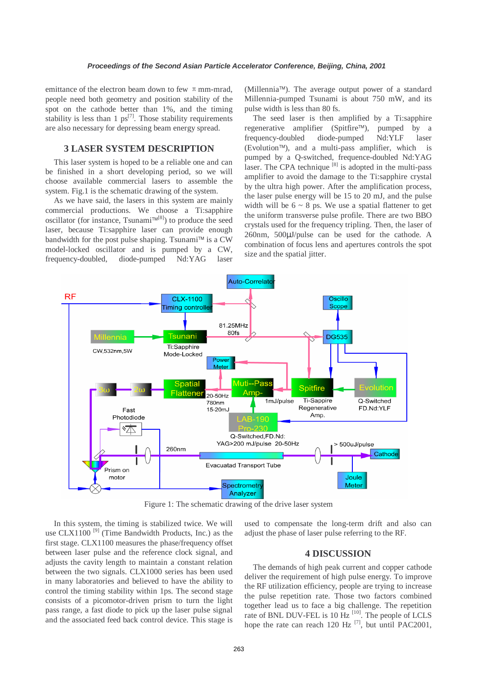emittance of the electron beam down to few  $\pi$  mm-mrad, people need both geometry and position stability of the spot on the cathode better than 1%, and the timing stability is less than 1  $ps^{[7]}$ . Those stability requirements are also necessary for depressing beam energy spread.

#### **3 LASER SYSTEM DESCRIPTION**

This laser system is hoped to be a reliable one and can be finished in a short developing period, so we will choose available commercial lasers to assemble the system. Fig.1 is the schematic drawing of the system.

As we have said, the lasers in this system are mainly commercial productions. We choose a Ti:sapphire oscillator (for instance, Tsunami<sup> $TM^{[8]}$ </sup>) to produce the seed laser, because Ti:sapphire laser can provide enough bandwidth for the post pulse shaping. Tsunami<sup>™</sup> is a  $CW$ model-locked oscillator and is pumped by a CW, frequency-doubled, diode-pumped Nd:YAG laser

 $(Millennia<sup>TM</sup>)$ . The average output power of a standard Millennia-pumped Tsunami is about 750 mW, and its pulse width is less than 80 fs.

The seed laser is then amplified by a Ti:sapphire regenerative amplifier (Spitfire<sup>™)</sup>, pumped by a frequency-doubled diode-pumped Nd:YLF laser  $(Evolution^{TM})$ , and a multi-pass amplifier, which is pumped by a Q-switched, frequence-doubled Nd:YAG laser. The CPA technique  $[8]$  is adopted in the multi-pass amplifier to avoid the damage to the Ti:sapphire crystal by the ultra high power. After the amplification process, the laser pulse energy will be 15 to 20 mJ, and the pulse width will be  $6 \sim 8$  ps. We use a spatial flattener to get the uniform transverse pulse profile. There are two BBO crystals used for the frequency tripling. Then, the laser of 260nm, 500µJ/pulse can be used for the cathode. A combination of focus lens and apertures controls the spot size and the spatial jitter.



Figure 1: The schematic drawing of the drive laser system

In this system, the timing is stabilized twice. We will use CLX1100 $^{[9]}$  (Time Bandwidth Products, Inc.) as the first stage. CLX1100 measures the phase/frequency offset between laser pulse and the reference clock signal, and adjusts the cavity length to maintain a constant relation between the two signals. CLX1000 series has been used in many laboratories and believed to have the ability to control the timing stability within 1ps. The second stage consists of a picomotor-driven prism to turn the light pass range, a fast diode to pick up the laser pulse signal and the associated feed back control device. This stage is

used to compensate the long-term drift and also can adjust the phase of laser pulse referring to the RF.

### **4 DISCUSSION**

The demands of high peak current and copper cathode deliver the requirement of high pulse energy. To improve the RF utilization efficiency, people are trying to increase the pulse repetition rate. Those two factors combined together lead us to face a big challenge. The repetition rate of BNL DUV-FEL is 10 Hz<sup>[10]</sup>. The people of LCLS hope the rate can reach 120 Hz  $^{[7]}$ , but until PAC2001,